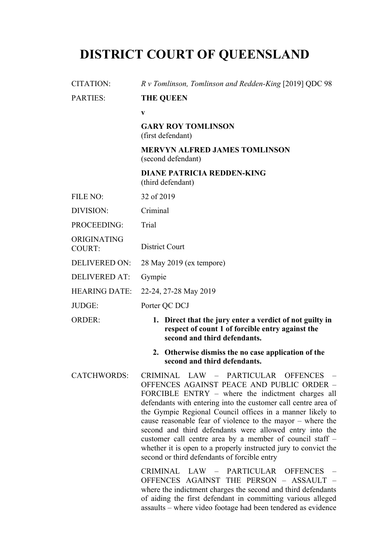# **DISTRICT COURT OF QUEENSLAND**

| <b>CITATION:</b>             | R v Tomlinson, Tomlinson and Redden-King [2019] QDC 98                                                                                                                                                                                                                                                                                                                                                                                                                                                                                                                          |
|------------------------------|---------------------------------------------------------------------------------------------------------------------------------------------------------------------------------------------------------------------------------------------------------------------------------------------------------------------------------------------------------------------------------------------------------------------------------------------------------------------------------------------------------------------------------------------------------------------------------|
| <b>PARTIES:</b>              | <b>THE QUEEN</b>                                                                                                                                                                                                                                                                                                                                                                                                                                                                                                                                                                |
|                              | $\mathbf{V}$                                                                                                                                                                                                                                                                                                                                                                                                                                                                                                                                                                    |
|                              | <b>GARY ROY TOMLINSON</b><br>(first defendant)                                                                                                                                                                                                                                                                                                                                                                                                                                                                                                                                  |
|                              | <b>MERVYN ALFRED JAMES TOMLINSON</b><br>(second defendant)                                                                                                                                                                                                                                                                                                                                                                                                                                                                                                                      |
|                              | <b>DIANE PATRICIA REDDEN-KING</b><br>(third defendant)                                                                                                                                                                                                                                                                                                                                                                                                                                                                                                                          |
| FILE NO:                     | 32 of 2019                                                                                                                                                                                                                                                                                                                                                                                                                                                                                                                                                                      |
| DIVISION:                    | Criminal                                                                                                                                                                                                                                                                                                                                                                                                                                                                                                                                                                        |
| PROCEEDING:                  | Trial                                                                                                                                                                                                                                                                                                                                                                                                                                                                                                                                                                           |
| ORIGINATING<br><b>COURT:</b> | District Court                                                                                                                                                                                                                                                                                                                                                                                                                                                                                                                                                                  |
| <b>DELIVERED ON:</b>         | 28 May 2019 (ex tempore)                                                                                                                                                                                                                                                                                                                                                                                                                                                                                                                                                        |
| <b>DELIVERED AT:</b>         | Gympie                                                                                                                                                                                                                                                                                                                                                                                                                                                                                                                                                                          |
| <b>HEARING DATE:</b>         | 22-24, 27-28 May 2019                                                                                                                                                                                                                                                                                                                                                                                                                                                                                                                                                           |
| JUDGE:                       | Porter QC DCJ                                                                                                                                                                                                                                                                                                                                                                                                                                                                                                                                                                   |
| <b>ORDER:</b>                | 1. Direct that the jury enter a verdict of not guilty in<br>respect of count 1 of forcible entry against the<br>second and third defendants.                                                                                                                                                                                                                                                                                                                                                                                                                                    |
|                              | 2. Otherwise dismiss the no case application of the<br>second and third defendants.                                                                                                                                                                                                                                                                                                                                                                                                                                                                                             |
| <b>CATCHWORDS:</b>           | CRIMINAL LAW - PARTICULAR OFFENCES -<br>OFFENCES AGAINST PEACE AND PUBLIC ORDER -<br>FORCIBLE ENTRY – where the indictment charges all<br>defendants with entering into the customer call centre area of<br>the Gympie Regional Council offices in a manner likely to<br>cause reasonable fear of violence to the mayor $-$ where the<br>second and third defendants were allowed entry into the<br>customer call centre area by a member of council staff -<br>whether it is open to a properly instructed jury to convict the<br>second or third defendants of forcible entry |
|                              | CRIMINAL LAW - PARTICULAR OFFENCES -<br>OFFENCES AGAINST THE PERSON - ASSAULT -<br>where the indictment charges the second and third defendants<br>of aiding the first defendant in committing various alleged                                                                                                                                                                                                                                                                                                                                                                  |

assaults – where video footage had been tendered as evidence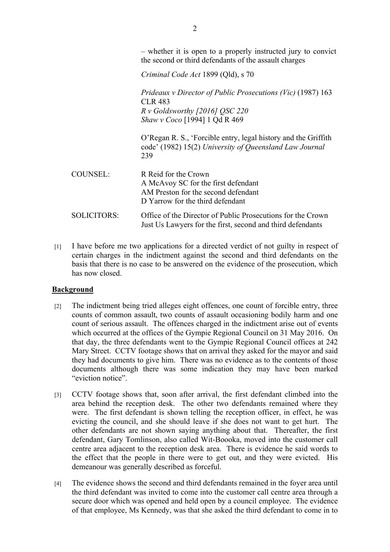– whether it is open to a properly instructed jury to convict the second or third defendants of the assault charges

*Criminal Code Act* 1899 (Qld), s 70

*Prideaux v Director of Public Prosecutions (Vic)* (1987) 163 CLR 483 *R v Goldsworthy [2016] QSC 220 Shaw v Coco* [1994] 1 Qd R 469 O'Regan R. S., 'Forcible entry, legal history and the Griffith code' (1982) 15(2) *University of Queensland Law Journal* 239 COUNSEL: R Reid for the Crown A McAvoy SC for the first defendant AM Preston for the second defendant D Yarrow for the third defendant SOLICITORS: Office of the Director of Public Prosecutions for the Crown Just Us Lawyers for the first, second and third defendants

[1] I have before me two applications for a directed verdict of not guilty in respect of certain charges in the indictment against the second and third defendants on the basis that there is no case to be answered on the evidence of the prosecution, which has now closed.

# **Background**

- [2] The indictment being tried alleges eight offences, one count of forcible entry, three counts of common assault, two counts of assault occasioning bodily harm and one count of serious assault. The offences charged in the indictment arise out of events which occurred at the offices of the Gympie Regional Council on 31 May 2016. On that day, the three defendants went to the Gympie Regional Council offices at 242 Mary Street. CCTV footage shows that on arrival they asked for the mayor and said they had documents to give him. There was no evidence as to the contents of those documents although there was some indication they may have been marked "eviction notice".
- [3] CCTV footage shows that, soon after arrival, the first defendant climbed into the area behind the reception desk. The other two defendants remained where they were. The first defendant is shown telling the reception officer, in effect, he was evicting the council, and she should leave if she does not want to get hurt. The other defendants are not shown saying anything about that. Thereafter, the first defendant, Gary Tomlinson, also called Wit-Boooka, moved into the customer call centre area adjacent to the reception desk area. There is evidence he said words to the effect that the people in there were to get out, and they were evicted. His demeanour was generally described as forceful.
- [4] The evidence shows the second and third defendants remained in the foyer area until the third defendant was invited to come into the customer call centre area through a secure door which was opened and held open by a council employee. The evidence of that employee, Ms Kennedy, was that she asked the third defendant to come in to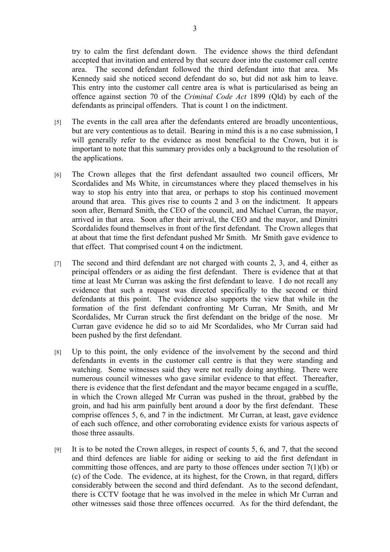try to calm the first defendant down. The evidence shows the third defendant accepted that invitation and entered by that secure door into the customer call centre area. The second defendant followed the third defendant into that area. Ms Kennedy said she noticed second defendant do so, but did not ask him to leave. This entry into the customer call centre area is what is particularised as being an offence against section 70 of the *Criminal Code Act* 1899 (Qld) by each of the defendants as principal offenders. That is count 1 on the indictment.

- [5] The events in the call area after the defendants entered are broadly uncontentious, but are very contentious as to detail. Bearing in mind this is a no case submission, I will generally refer to the evidence as most beneficial to the Crown, but it is important to note that this summary provides only a background to the resolution of the applications.
- [6] The Crown alleges that the first defendant assaulted two council officers, Mr Scordalides and Ms White, in circumstances where they placed themselves in his way to stop his entry into that area, or perhaps to stop his continued movement around that area. This gives rise to counts 2 and 3 on the indictment. It appears soon after, Bernard Smith, the CEO of the council, and Michael Curran, the mayor, arrived in that area. Soon after their arrival, the CEO and the mayor, and Dimitri Scordalides found themselves in front of the first defendant. The Crown alleges that at about that time the first defendant pushed Mr Smith. Mr Smith gave evidence to that effect. That comprised count 4 on the indictment.
- [7] The second and third defendant are not charged with counts 2, 3, and 4, either as principal offenders or as aiding the first defendant. There is evidence that at that time at least Mr Curran was asking the first defendant to leave. I do not recall any evidence that such a request was directed specifically to the second or third defendants at this point. The evidence also supports the view that while in the formation of the first defendant confronting Mr Curran, Mr Smith, and Mr Scordalides, Mr Curran struck the first defendant on the bridge of the nose. Mr Curran gave evidence he did so to aid Mr Scordalides, who Mr Curran said had been pushed by the first defendant.
- [8] Up to this point, the only evidence of the involvement by the second and third defendants in events in the customer call centre is that they were standing and watching. Some witnesses said they were not really doing anything. There were numerous council witnesses who gave similar evidence to that effect. Thereafter, there is evidence that the first defendant and the mayor became engaged in a scuffle, in which the Crown alleged Mr Curran was pushed in the throat, grabbed by the groin, and had his arm painfully bent around a door by the first defendant. These comprise offences 5, 6, and 7 in the indictment. Mr Curran, at least, gave evidence of each such offence, and other corroborating evidence exists for various aspects of those three assaults.
- [9] It is to be noted the Crown alleges, in respect of counts 5, 6, and 7, that the second and third defences are liable for aiding or seeking to aid the first defendant in committing those offences, and are party to those offences under section 7(1)(b) or (c) of the Code. The evidence, at its highest, for the Crown, in that regard, differs considerably between the second and third defendant. As to the second defendant, there is CCTV footage that he was involved in the melee in which Mr Curran and other witnesses said those three offences occurred. As for the third defendant, the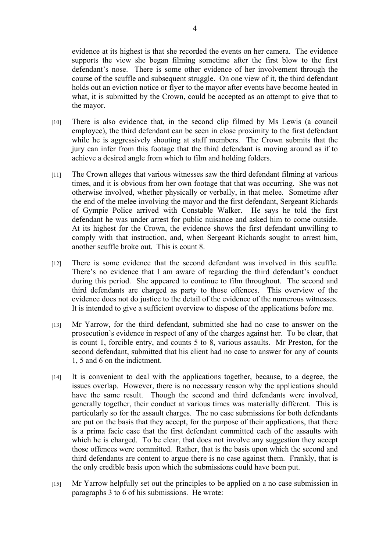evidence at its highest is that she recorded the events on her camera. The evidence supports the view she began filming sometime after the first blow to the first defendant's nose. There is some other evidence of her involvement through the course of the scuffle and subsequent struggle. On one view of it, the third defendant holds out an eviction notice or flyer to the mayor after events have become heated in what, it is submitted by the Crown, could be accepted as an attempt to give that to the mayor.

- [10] There is also evidence that, in the second clip filmed by Ms Lewis (a council employee), the third defendant can be seen in close proximity to the first defendant while he is aggressively shouting at staff members. The Crown submits that the jury can infer from this footage that the third defendant is moving around as if to achieve a desired angle from which to film and holding folders.
- [11] The Crown alleges that various witnesses saw the third defendant filming at various times, and it is obvious from her own footage that that was occurring. She was not otherwise involved, whether physically or verbally, in that melee. Sometime after the end of the melee involving the mayor and the first defendant, Sergeant Richards of Gympie Police arrived with Constable Walker. He says he told the first defendant he was under arrest for public nuisance and asked him to come outside. At its highest for the Crown, the evidence shows the first defendant unwilling to comply with that instruction, and, when Sergeant Richards sought to arrest him, another scuffle broke out. This is count 8.
- [12] There is some evidence that the second defendant was involved in this scuffle. There's no evidence that I am aware of regarding the third defendant's conduct during this period. She appeared to continue to film throughout. The second and third defendants are charged as party to those offences. This overview of the evidence does not do justice to the detail of the evidence of the numerous witnesses. It is intended to give a sufficient overview to dispose of the applications before me.
- [13] Mr Yarrow, for the third defendant, submitted she had no case to answer on the prosecution's evidence in respect of any of the charges against her. To be clear, that is count 1, forcible entry, and counts 5 to 8, various assaults. Mr Preston, for the second defendant, submitted that his client had no case to answer for any of counts 1, 5 and 6 on the indictment.
- [14] It is convenient to deal with the applications together, because, to a degree, the issues overlap. However, there is no necessary reason why the applications should have the same result. Though the second and third defendants were involved, generally together, their conduct at various times was materially different. This is particularly so for the assault charges. The no case submissions for both defendants are put on the basis that they accept, for the purpose of their applications, that there is a prima facie case that the first defendant committed each of the assaults with which he is charged. To be clear, that does not involve any suggestion they accept those offences were committed. Rather, that is the basis upon which the second and third defendants are content to argue there is no case against them. Frankly, that is the only credible basis upon which the submissions could have been put.
- [15] Mr Yarrow helpfully set out the principles to be applied on a no case submission in paragraphs 3 to 6 of his submissions. He wrote: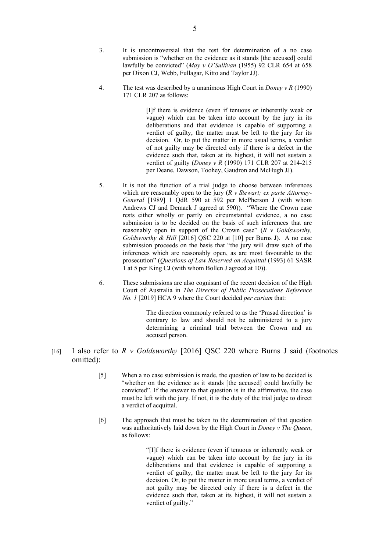- 3. It is uncontroversial that the test for determination of a no case submission is "whether on the evidence as it stands [the accused] could lawfully be convicted" (*May v O'Sullivan* (1955) 92 CLR 654 at 658 per Dixon CJ, Webb, Fullagar, Kitto and Taylor JJ).
- 4. The test was described by a unanimous High Court in *Doney v R* (1990) 171 CLR 207 as follows:

[I]f there is evidence (even if tenuous or inherently weak or vague) which can be taken into account by the jury in its deliberations and that evidence is capable of supporting a verdict of guilty, the matter must be left to the jury for its decision. Or, to put the matter in more usual terms, a verdict of not guilty may be directed only if there is a defect in the evidence such that, taken at its highest, it will not sustain a verdict of guilty (*Doney v R* (1990) 171 CLR 207 at 214-215 per Deane, Dawson, Toohey, Gaudron and McHugh JJ).

- 5. It is not the function of a trial judge to choose between inferences which are reasonably open to the jury (*R v Stewart; ex parte Attorney-General* [1989] 1 QdR 590 at 592 per McPherson J (with whom Andrews CJ and Demack J agreed at 590)). "Where the Crown case rests either wholly or partly on circumstantial evidence, a no case submission is to be decided on the basis of such inferences that are reasonably open in support of the Crown case" (*R v Goldsworthy, Goldsworthy & Hill* [2016] QSC 220 at [10] per Burns J). A no case submission proceeds on the basis that "the jury will draw such of the inferences which are reasonably open, as are most favourable to the prosecution" (*Questions of Law Reserved on Acquittal* (1993) 61 SASR 1 at 5 per King CJ (with whom Bollen J agreed at 10)).
- 6. These submissions are also cognisant of the recent decision of the High Court of Australia in *The Director of Public Prosecutions Reference No. 1* [2019] HCA 9 where the Court decided *per curiam* that:

The direction commonly referred to as the 'Prasad direction' is contrary to law and should not be administered to a jury determining a criminal trial between the Crown and an accused person.

- [16] I also refer to *R v Goldsworthy* [2016] QSC 220 where Burns J said (footnotes omitted):
	- [5] When a no case submission is made, the question of law to be decided is "whether on the evidence as it stands [the accused] could lawfully be convicted". If the answer to that question is in the affirmative, the case must be left with the jury. If not, it is the duty of the trial judge to direct a verdict of acquittal.
	- [6] The approach that must be taken to the determination of that question was authoritatively laid down by the High Court in *Doney v The Queen*, as follows:

"[I]f there is evidence (even if tenuous or inherently weak or vague) which can be taken into account by the jury in its deliberations and that evidence is capable of supporting a verdict of guilty, the matter must be left to the jury for its decision. Or, to put the matter in more usual terms, a verdict of not guilty may be directed only if there is a defect in the evidence such that, taken at its highest, it will not sustain a verdict of guilty."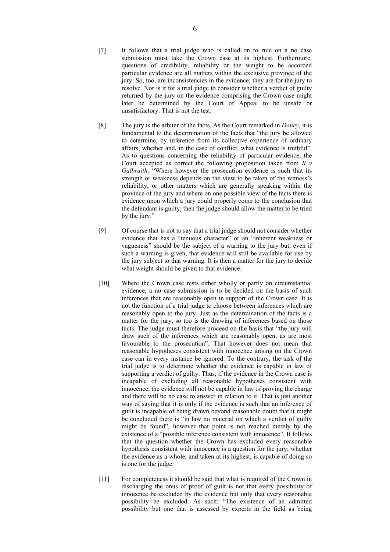- [7] It follows that a trial judge who is called on to rule on a no case submission must take the Crown case at its highest. Furthermore, questions of credibility, reliability or the weight to be accorded particular evidence are all matters within the exclusive province of the jury. So, too, are inconsistencies in the evidence; they are for the jury to resolve. Nor is it for a trial judge to consider whether a verdict of guilty returned by the jury on the evidence comprising the Crown case might later be determined by the Court of Appeal to be unsafe or unsatisfactory. That is not the test.
- [8] The jury is the arbiter of the facts. As the Court remarked in *Doney*, it is fundamental to the determination of the facts that "the jury be allowed to determine, by inference from its collective experience of ordinary affairs, whether and, in the case of conflict, what evidence is truthful". As to questions concerning the reliability of particular evidence, the Court accepted as correct the following proposition taken from *R v Galbraith*: "Where however the prosecution evidence is such that its strength or weakness depends on the view to be taken of the witness's reliability, or other matters which are generally speaking within the province of the jury and where on one possible view of the facts there is evidence upon which a jury could properly come to the conclusion that the defendant is guilty, then the judge should allow the matter to be tried by the jury."
- [9] Of course that is not to say that a trial judge should not consider whether evidence that has a "tenuous character" or an "inherent weakness or vagueness" should be the subject of a warning to the jury but, even if such a warning is given, that evidence will still be available for use by the jury subject to that warning. It is then a matter for the jury to decide what weight should be given to that evidence.
- [10] Where the Crown case rests either wholly or partly on circumstantial evidence, a no case submission is to be decided on the basis of such inferences that are reasonably open in support of the Crown case. It is not the function of a trial judge to choose between inferences which are reasonably open to the jury. Just as the determination of the facts is a matter for the jury, so too is the drawing of inferences based on those facts. The judge must therefore proceed on the basis that "the jury will draw such of the inferences which are reasonably open, as are most favourable to the prosecution". That however does not mean that reasonable hypotheses consistent with innocence arising on the Crown case can in every instance be ignored. To the contrary, the task of the trial judge is to determine whether the evidence is capable in law of supporting a verdict of guilty. Thus, if the evidence in the Crown case is incapable of excluding all reasonable hypotheses consistent with innocence, the evidence will not be capable in law of proving the charge and there will be no case to answer in relation to it. That is just another way of saying that it is only if the evidence is such that an inference of guilt is incapable of being drawn beyond reasonable doubt that it might be concluded there is "in law no material on which a verdict of guilty might be found", however that point is not reached merely by the existence of a "possible inference consistent with innocence". It follows that the question whether the Crown has excluded every reasonable hypothesis consistent with innocence is a question for the jury; whether the evidence as a whole, and taken at its highest, is capable of doing so is one for the judge.
- [11] For completeness it should be said that what is required of the Crown in discharging the onus of proof of guilt is not that every possibility of innocence be excluded by the evidence but only that every reasonable possibility be excluded. As such: "The existence of an admitted possibility but one that is assessed by experts in the field as being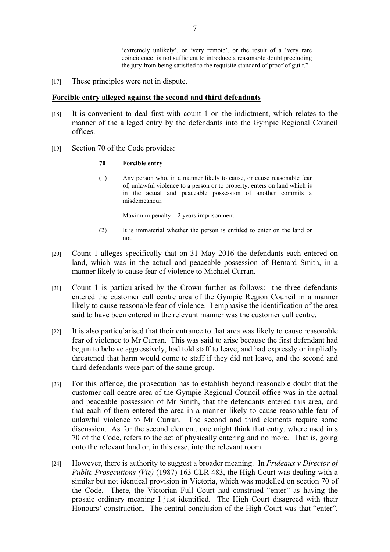'extremely unlikely', or 'very remote', or the result of a 'very rare coincidence' is not sufficient to introduce a reasonable doubt precluding the jury from being satisfied to the requisite standard of proof of guilt."

[17] These principles were not in dispute.

## **Forcible entry alleged against the second and third defendants**

- [18] It is convenient to deal first with count 1 on the indictment, which relates to the manner of the alleged entry by the defendants into the Gympie Regional Council offices.
- [19] Section 70 of the Code provides:

#### **70 Forcible entry**

(1) Any person who, in a manner likely to cause, or cause reasonable fear of, unlawful violence to a person or to property, enters on land which is in the actual and peaceable possession of another commits a misdemeanour.

Maximum penalty—2 years imprisonment.

- (2) It is immaterial whether the person is entitled to enter on the land or not.
- [20] Count 1 alleges specifically that on 31 May 2016 the defendants each entered on land, which was in the actual and peaceable possession of Bernard Smith, in a manner likely to cause fear of violence to Michael Curran.
- [21] Count 1 is particularised by the Crown further as follows: the three defendants entered the customer call centre area of the Gympie Region Council in a manner likely to cause reasonable fear of violence. I emphasise the identification of the area said to have been entered in the relevant manner was the customer call centre.
- [22] It is also particularised that their entrance to that area was likely to cause reasonable fear of violence to Mr Curran. This was said to arise because the first defendant had begun to behave aggressively, had told staff to leave, and had expressly or impliedly threatened that harm would come to staff if they did not leave, and the second and third defendants were part of the same group.
- [23] For this offence, the prosecution has to establish beyond reasonable doubt that the customer call centre area of the Gympie Regional Council office was in the actual and peaceable possession of Mr Smith, that the defendants entered this area, and that each of them entered the area in a manner likely to cause reasonable fear of unlawful violence to Mr Curran. The second and third elements require some discussion. As for the second element, one might think that entry, where used in s 70 of the Code, refers to the act of physically entering and no more. That is, going onto the relevant land or, in this case, into the relevant room.
- [24] However, there is authority to suggest a broader meaning. In *Prideaux v Director of Public Prosecutions (Vic)* (1987) 163 CLR 483, the High Court was dealing with a similar but not identical provision in Victoria, which was modelled on section 70 of the Code. There, the Victorian Full Court had construed "enter" as having the prosaic ordinary meaning I just identified. The High Court disagreed with their Honours' construction. The central conclusion of the High Court was that "enter",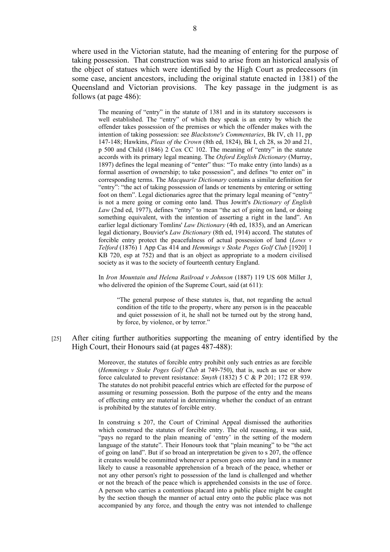where used in the Victorian statute, had the meaning of entering for the purpose of taking possession. That construction was said to arise from an historical analysis of the object of statues which were identified by the High Court as predecessors (in some case, ancient ancestors, including the original statute enacted in 1381) of the Queensland and Victorian provisions. The key passage in the judgment is as follows (at page 486):

The meaning of "entry" in the statute of 1381 and in its statutory successors is well established. The "entry" of which they speak is an entry by which the offender takes possession of the premises or which the offender makes with the intention of taking possession: see *Blackstone's Commentaries*, Bk IV, ch 11, pp 147-148; Hawkins, *Pleas of the Crown* (8th ed, 1824), Bk I, ch 28, ss 20 and 21, p 500 and Child (1846) 2 Cox CC 102. The meaning of "entry" in the statute accords with its primary legal meaning. The *Oxford English Dictionary* (Murray, 1897) defines the legal meaning of "enter" thus: "To make entry (into lands) as a formal assertion of ownership; to take possession", and defines "to enter on" in corresponding terms. The *Macquarie Dictionary* contains a similar definition for "entry": "the act of taking possession of lands or tenements by entering or setting foot on them". Legal dictionaries agree that the primary legal meaning of "entry" is not a mere going or coming onto land. Thus Jowitt's *Dictionary of English Law* (2nd ed, 1977), defines "entry" to mean "the act of going on land, or doing something equivalent, with the intention of asserting a right in the land". An earlier legal dictionary Tomlins' *Law Dictionary* (4th ed, 1835), and an American legal dictionary, Bouvier's *Law Dictionary* (8th ed, 1914) accord. The statutes of forcible entry protect the peacefulness of actual possession of land (*Lows v Telford* (1876) 1 App Cas 414 and *Hemmings v Stoke Poges Golf Club* [1920] 1 KB 720, esp at 752) and that is an object as appropriate to a modern civilised society as it was to the society of fourteenth century England.

In *Iron Mountain and Helena Railroad v Johnson* (1887) 119 US 608 Miller J, who delivered the opinion of the Supreme Court, said (at 611):

"The general purpose of these statutes is, that, not regarding the actual condition of the title to the property, where any person is in the peaceable and quiet possession of it, he shall not be turned out by the strong hand, by force, by violence, or by terror."

### [25] After citing further authorities supporting the meaning of entry identified by the High Court, their Honours said (at pages 487-488):

Moreover, the statutes of forcible entry prohibit only such entries as are forcible (*Hemmings v Stoke Poges Golf Club* at 749-750), that is, such as use or show force calculated to prevent resistance: *Smyth* (1832) 5 C & P 201; 172 ER 939. The statutes do not prohibit peaceful entries which are effected for the purpose of assuming or resuming possession. Both the purpose of the entry and the means of effecting entry are material in determining whether the conduct of an entrant is prohibited by the statutes of forcible entry.

In construing s 207, the Court of Criminal Appeal dismissed the authorities which construed the statutes of forcible entry. The old reasoning, it was said, "pays no regard to the plain meaning of 'entry' in the setting of the modern language of the statute". Their Honours took that "plain meaning" to be "the act of going on land". But if so broad an interpretation be given to s 207, the offence it creates would be committed whenever a person goes onto any land in a manner likely to cause a reasonable apprehension of a breach of the peace, whether or not any other person's right to possession of the land is challenged and whether or not the breach of the peace which is apprehended consists in the use of force. A person who carries a contentious placard into a public place might be caught by the section though the manner of actual entry onto the public place was not accompanied by any force, and though the entry was not intended to challenge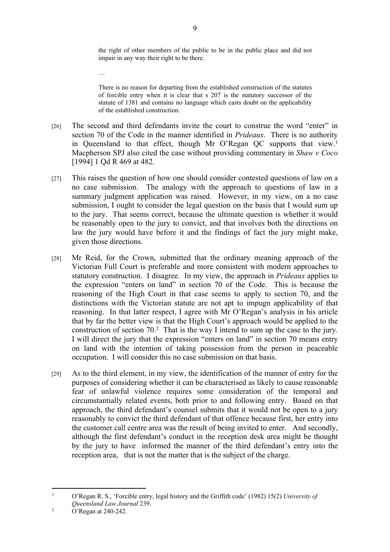the right of other members of the public to be in the public place and did not impair in any way their right to be there.

There is no reason for departing from the established construction of the statutes of forcible entry when it is clear that s 207 is the statutory successor of the statute of 1381 and contains no language which casts doubt on the applicability of the established construction.

- [26] The second and third defendants invite the court to construe the word "enter" in section 70 of the Code in the manner identified in *Prideaux*. There is no authority in Queensland to that effect, though Mr O'Regan QC supports that view.<sup>1</sup> Macpherson SPJ also cited the case without providing commentary in *Shaw v Coco*  [1994] 1 Od R 469 at 482.
- [27] This raises the question of how one should consider contested questions of law on a no case submission. The analogy with the approach to questions of law in a summary judgment application was raised. However, in my view, on a no case submission, I ought to consider the legal question on the basis that I would sum up to the jury. That seems correct, because the ultimate question is whether it would be reasonably open to the jury to convict, and that involves both the directions on law the jury would have before it and the findings of fact the jury might make, given those directions.
- [28] Mr Reid, for the Crown, submitted that the ordinary meaning approach of the Victorian Full Court is preferable and more consistent with modern approaches to statutory construction. I disagree. In my view, the approach in *Prideaux* applies to the expression "enters on land" in section 70 of the Code. This is because the reasoning of the High Court in that case seems to apply to section 70, and the distinctions with the Victorian statute are not apt to impugn applicability of that reasoning. In that latter respect, I agree with Mr O'Regan's analysis in his article that by far the better view is that the High Court's approach would be applied to the construction of section 70.<sup>2</sup> That is the way I intend to sum up the case to the jury. I will direct the jury that the expression "enters on land" in section 70 means entry on land with the intention of taking possession from the person in peaceable occupation. I will consider this no case submission on that basis.
- [29] As to the third element, in my view, the identification of the manner of entry for the purposes of considering whether it can be characterised as likely to cause reasonable fear of unlawful violence requires some consideration of the temporal and circumstantially related events, both prior to and following entry. Based on that approach, the third defendant's counsel submits that it would not be open to a jury reasonably to convict the third defendant of that offence because first, her entry into the customer call centre area was the result of being invited to enter. And secondly, although the first defendant's conduct in the reception desk area might be thought by the jury to have informed the manner of the third defendant's entry into the reception area, that is not the matter that is the subject of the charge.

…

<sup>1</sup> O'Regan R. S., 'Forcible entry, legal history and the Griffith code' (1982) 15(2) *University of Queensland Law Journal* 239.

<sup>2</sup> O'Regan at 240-242.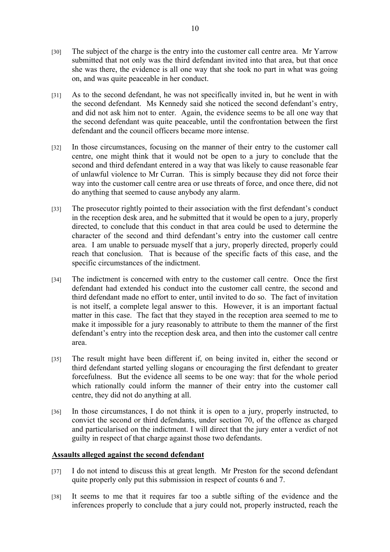- [30] The subject of the charge is the entry into the customer call centre area. Mr Yarrow submitted that not only was the third defendant invited into that area, but that once she was there, the evidence is all one way that she took no part in what was going on, and was quite peaceable in her conduct.
- [31] As to the second defendant, he was not specifically invited in, but he went in with the second defendant. Ms Kennedy said she noticed the second defendant's entry, and did not ask him not to enter. Again, the evidence seems to be all one way that the second defendant was quite peaceable, until the confrontation between the first defendant and the council officers became more intense.
- [32] In those circumstances, focusing on the manner of their entry to the customer call centre, one might think that it would not be open to a jury to conclude that the second and third defendant entered in a way that was likely to cause reasonable fear of unlawful violence to Mr Curran. This is simply because they did not force their way into the customer call centre area or use threats of force, and once there, did not do anything that seemed to cause anybody any alarm.
- [33] The prosecutor rightly pointed to their association with the first defendant's conduct in the reception desk area, and he submitted that it would be open to a jury, properly directed, to conclude that this conduct in that area could be used to determine the character of the second and third defendant's entry into the customer call centre area. I am unable to persuade myself that a jury, properly directed, properly could reach that conclusion. That is because of the specific facts of this case, and the specific circumstances of the indictment.
- [34] The indictment is concerned with entry to the customer call centre. Once the first defendant had extended his conduct into the customer call centre, the second and third defendant made no effort to enter, until invited to do so. The fact of invitation is not itself, a complete legal answer to this. However, it is an important factual matter in this case. The fact that they stayed in the reception area seemed to me to make it impossible for a jury reasonably to attribute to them the manner of the first defendant's entry into the reception desk area, and then into the customer call centre area.
- [35] The result might have been different if, on being invited in, either the second or third defendant started yelling slogans or encouraging the first defendant to greater forcefulness. But the evidence all seems to be one way: that for the whole period which rationally could inform the manner of their entry into the customer call centre, they did not do anything at all.
- [36] In those circumstances, I do not think it is open to a jury, properly instructed, to convict the second or third defendants, under section 70, of the offence as charged and particularised on the indictment. I will direct that the jury enter a verdict of not guilty in respect of that charge against those two defendants.

# **Assaults alleged against the second defendant**

- [37] I do not intend to discuss this at great length. Mr Preston for the second defendant quite properly only put this submission in respect of counts 6 and 7.
- [38] It seems to me that it requires far too a subtle sifting of the evidence and the inferences properly to conclude that a jury could not, properly instructed, reach the